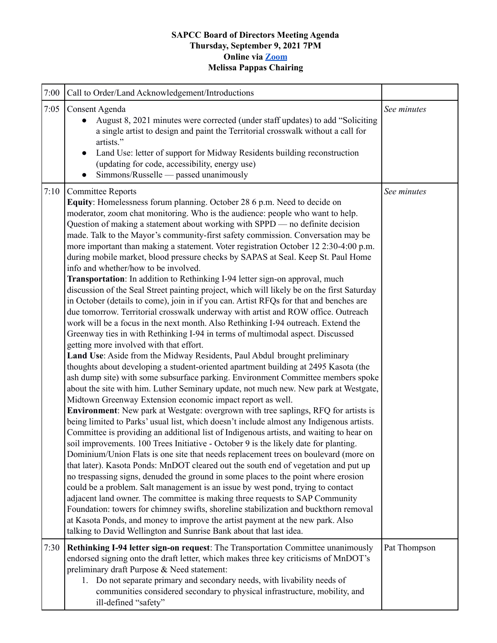## **SAPCC Board of Directors Meeting Agenda Thursday, September 9, 2021 7PM Online via [Zoom](https://zoom.us/j/94313936880?pwd=MVVwU2xGTkJGVE1YM1g2Z2Z5UGhHdz09) Melissa Pappas Chairing**

| 7:00 | Call to Order/Land Acknowledgement/Introductions                                                                                                                                                                                                                                                                                                                                                                                                                                                                                                                                                                                                                                                                                                                                                                                                                                                                                                                                                                                                                                                                                                                                                                                                                                                                                                                                                                                                                                                                                                                                                                                                                                                                                                                                                                                                                                                                                                                                                                                                                                                                                                                                                                                                                                                                                                                                                                                                                                                                                                                                                                                          |              |
|------|-------------------------------------------------------------------------------------------------------------------------------------------------------------------------------------------------------------------------------------------------------------------------------------------------------------------------------------------------------------------------------------------------------------------------------------------------------------------------------------------------------------------------------------------------------------------------------------------------------------------------------------------------------------------------------------------------------------------------------------------------------------------------------------------------------------------------------------------------------------------------------------------------------------------------------------------------------------------------------------------------------------------------------------------------------------------------------------------------------------------------------------------------------------------------------------------------------------------------------------------------------------------------------------------------------------------------------------------------------------------------------------------------------------------------------------------------------------------------------------------------------------------------------------------------------------------------------------------------------------------------------------------------------------------------------------------------------------------------------------------------------------------------------------------------------------------------------------------------------------------------------------------------------------------------------------------------------------------------------------------------------------------------------------------------------------------------------------------------------------------------------------------------------------------------------------------------------------------------------------------------------------------------------------------------------------------------------------------------------------------------------------------------------------------------------------------------------------------------------------------------------------------------------------------------------------------------------------------------------------------------------------------|--------------|
| 7:05 | Consent Agenda<br>August 8, 2021 minutes were corrected (under staff updates) to add "Soliciting<br>a single artist to design and paint the Territorial crosswalk without a call for<br>artists."<br>Land Use: letter of support for Midway Residents building reconstruction<br>$\bullet$<br>(updating for code, accessibility, energy use)<br>Simmons/Russelle — passed unanimously                                                                                                                                                                                                                                                                                                                                                                                                                                                                                                                                                                                                                                                                                                                                                                                                                                                                                                                                                                                                                                                                                                                                                                                                                                                                                                                                                                                                                                                                                                                                                                                                                                                                                                                                                                                                                                                                                                                                                                                                                                                                                                                                                                                                                                                     | See minutes  |
| 7:10 | <b>Committee Reports</b><br>Equity: Homelessness forum planning. October 28 6 p.m. Need to decide on<br>moderator, zoom chat monitoring. Who is the audience: people who want to help.<br>Question of making a statement about working with SPPD — no definite decision<br>made. Talk to the Mayor's community-first safety commission. Conversation may be<br>more important than making a statement. Voter registration October 12 2:30-4:00 p.m.<br>during mobile market, blood pressure checks by SAPAS at Seal. Keep St. Paul Home<br>info and whether/how to be involved.<br>Transportation: In addition to Rethinking I-94 letter sign-on approval, much<br>discussion of the Seal Street painting project, which will likely be on the first Saturday<br>in October (details to come), join in if you can. Artist RFQs for that and benches are<br>due tomorrow. Territorial crosswalk underway with artist and ROW office. Outreach<br>work will be a focus in the next month. Also Rethinking I-94 outreach. Extend the<br>Greenway ties in with Rethinking I-94 in terms of multimodal aspect. Discussed<br>getting more involved with that effort.<br>Land Use: Aside from the Midway Residents, Paul Abdul brought preliminary<br>thoughts about developing a student-oriented apartment building at 2495 Kasota (the<br>ash dump site) with some subsurface parking. Environment Committee members spoke<br>about the site with him. Luther Seminary update, not much new. New park at Westgate,<br>Midtown Greenway Extension economic impact report as well.<br>Environment: New park at Westgate: overgrown with tree saplings, RFQ for artists is<br>being limited to Parks' usual list, which doesn't include almost any Indigenous artists.<br>Committee is providing an additional list of Indigenous artists, and waiting to hear on<br>soil improvements. 100 Trees Initiative - October 9 is the likely date for planting.<br>Dominium/Union Flats is one site that needs replacement trees on boulevard (more on<br>that later). Kasota Ponds: MnDOT cleared out the south end of vegetation and put up<br>no trespassing signs, denuded the ground in some places to the point where erosion<br>could be a problem. Salt management is an issue by west pond, trying to contact<br>adjacent land owner. The committee is making three requests to SAP Community<br>Foundation: towers for chimney swifts, shoreline stabilization and buckthorn removal<br>at Kasota Ponds, and money to improve the artist payment at the new park. Also<br>talking to David Wellington and Sunrise Bank about that last idea. | See minutes  |
| 7:30 | Rethinking I-94 letter sign-on request: The Transportation Committee unanimously<br>endorsed signing onto the draft letter, which makes three key criticisms of MnDOT's<br>preliminary draft Purpose & Need statement:<br>1. Do not separate primary and secondary needs, with livability needs of<br>communities considered secondary to physical infrastructure, mobility, and<br>ill-defined "safety"                                                                                                                                                                                                                                                                                                                                                                                                                                                                                                                                                                                                                                                                                                                                                                                                                                                                                                                                                                                                                                                                                                                                                                                                                                                                                                                                                                                                                                                                                                                                                                                                                                                                                                                                                                                                                                                                                                                                                                                                                                                                                                                                                                                                                                  | Pat Thompson |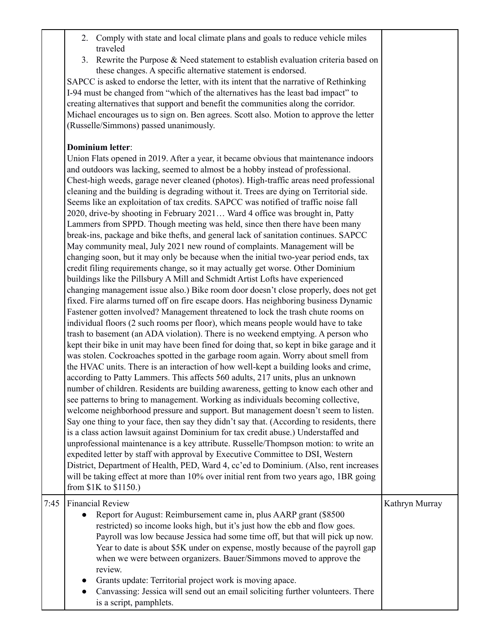- 2. Comply with state and local climate plans and goals to reduce vehicle miles traveled
- 3. Rewrite the Purpose & Need statement to establish evaluation criteria based on these changes. A specific alternative statement is endorsed.

SAPCC is asked to endorse the letter, with its intent that the narrative of Rethinking I-94 must be changed from "which of the alternatives has the least bad impact" to creating alternatives that support and benefit the communities along the corridor. Michael encourages us to sign on. Ben agrees. Scott also. Motion to approve the letter (Russelle/Simmons) passed unanimously.

## **Dominium letter**:

Union Flats opened in 2019. After a year, it became obvious that maintenance indoors and outdoors was lacking, seemed to almost be a hobby instead of professional. Chest-high weeds, garage never cleaned (photos). High-traffic areas need professional cleaning and the building is degrading without it. Trees are dying on Territorial side. Seems like an exploitation of tax credits. SAPCC was notified of traffic noise fall 2020, drive-by shooting in February 2021… Ward 4 office was brought in, Patty Lammers from SPPD. Though meeting was held, since then there have been many break-ins, package and bike thefts, and general lack of sanitation continues. SAPCC May community meal, July 2021 new round of complaints. Management will be changing soon, but it may only be because when the initial two-year period ends, tax credit filing requirements change, so it may actually get worse. Other Dominium buildings like the Pillsbury A Mill and Schmidt Artist Lofts have experienced changing management issue also.) Bike room door doesn't close properly, does not get fixed. Fire alarms turned off on fire escape doors. Has neighboring business Dynamic Fastener gotten involved? Management threatened to lock the trash chute rooms on individual floors (2 such rooms per floor), which means people would have to take trash to basement (an ADA violation). There is no weekend emptying. A person who kept their bike in unit may have been fined for doing that, so kept in bike garage and it was stolen. Cockroaches spotted in the garbage room again. Worry about smell from the HVAC units. There is an interaction of how well-kept a building looks and crime, according to Patty Lammers. This affects 560 adults, 217 units, plus an unknown number of children. Residents are building awareness, getting to know each other and see patterns to bring to management. Working as individuals becoming collective, welcome neighborhood pressure and support. But management doesn't seem to listen. Say one thing to your face, then say they didn't say that. (According to residents, there is a class action lawsuit against Dominium for tax credit abuse.) Understaffed and unprofessional maintenance is a key attribute. Russelle/Thompson motion: to write an expedited letter by staff with approval by Executive Committee to DSI, Western District, Department of Health, PED, Ward 4, cc'ed to Dominium. (Also, rent increases will be taking effect at more than 10% over initial rent from two years ago, 1BR going from \$1K to \$1150.) 7:45 Financial Review Report for August: Reimbursement came in, plus AARP grant (\$8500) restricted) so income looks high, but it's just how the ebb and flow goes. Payroll was low because Jessica had some time off, but that will pick up now. Year to date is about \$5K under on expense, mostly because of the payroll gap when we were between organizers. Bauer/Simmons moved to approve the review. Grants update: Territorial project work is moving apace. Kathryn Murray

Canvassing: Jessica will send out an email soliciting further volunteers. There is a script, pamphlets.